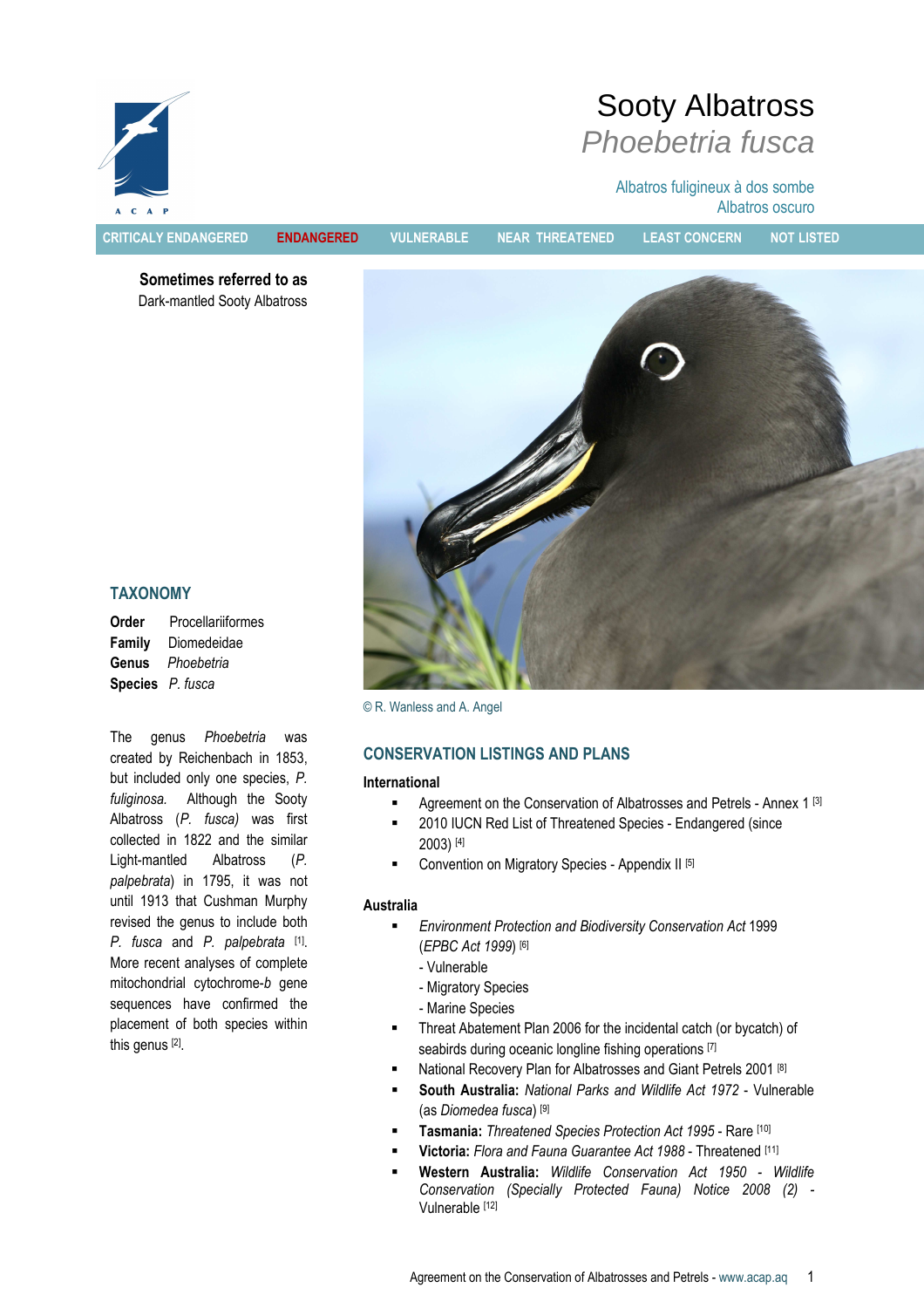

CRITICALY ENDANGERED ENDANGERED VULNERABLE NEAR THREATENED LEAST CONCERN NOT LISTED

Albatros oscuro

Sooty Albatross

Phoebetria fusca

Albatros fuligineux à dos sombe

Sometimes referred to as Dark-mantled Sooty Albatross



# TAXONOMY

Order Procellariiformes Family Diomedeidae Genus Phoebetria Species P. fusca

The genus Phoebetria was created by Reichenbach in 1853, but included only one species, P. fuliginosa. Although the Sooty Albatross (P. fusca) was first collected in 1822 and the similar Light-mantled Albatross (P. palpebrata) in 1795, it was not until 1913 that Cushman Murphy revised the genus to include both P. fusca and P. palpebrata [1]. More recent analyses of complete mitochondrial cytochrome-b gene sequences have confirmed the placement of both species within this genus [2] .

© R. Wanless and A. Angel

# CONSERVATION LISTINGS AND PLANS

# International

- Agreement on the Conservation of Albatrosses and Petrels Annex 1 [3]
- 2010 IUCN Red List of Threatened Species Endangered (since 2003) [4]
- Convention on Migratory Species Appendix II [5]

#### Australia

- Environment Protection and Biodiversity Conservation Act 1999 (EPBC Act 1999) [6]
	- Vulnerable
	- Migratory Species
	- Marine Species
- Threat Abatement Plan 2006 for the incidental catch (or bycatch) of seabirds during oceanic longline fishing operations [7]
- National Recovery Plan for Albatrosses and Giant Petrels 2001 [8]
- South Australia: National Parks and Wildlife Act 1972 Vulnerable (as Diomedea fusca) [9]
- Tasmania: Threatened Species Protection Act 1995 Rare [10]
- Victoria: Flora and Fauna Guarantee Act 1988 Threatened [11]
- Western Australia: Wildlife Conservation Act 1950 Wildlife Conservation (Specially Protected Fauna) Notice 2008 (2) - Vulnerable [12]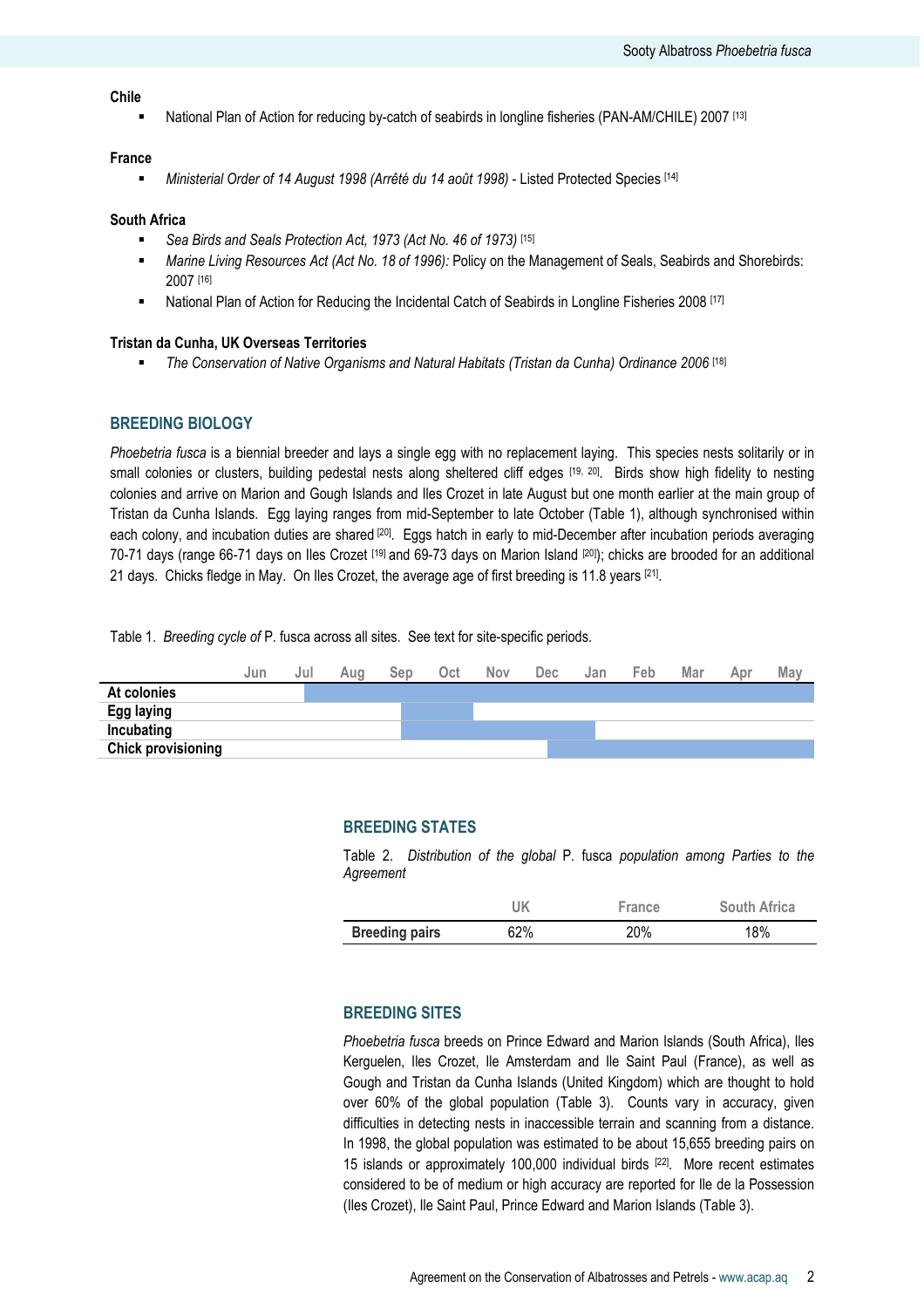### Chile

National Plan of Action for reducing by-catch of seabirds in longline fisheries (PAN-AM/CHILE) 2007 [13]

#### France

Ministerial Order of 14 August 1998 (Arrêté du 14 août 1998) - Listed Protected Species [14]

### South Africa

- Sea Birds and Seals Protection Act, 1973 (Act No. 46 of 1973) [15]
- **Marine Living Resources Act (Act No. 18 of 1996): Policy on the Management of Seals, Seabirds and Shorebirds:** 2007 [16]
- National Plan of Action for Reducing the Incidental Catch of Seabirds in Longline Fisheries 2008 [17]

#### Tristan da Cunha, UK Overseas Territories

The Conservation of Native Organisms and Natural Habitats (Tristan da Cunha) Ordinance 2006 [18]

### BREEDING BIOLOGY

Phoebetria fusca is a biennial breeder and lays a single egg with no replacement laying. This species nests solitarily or in small colonies or clusters, building pedestal nests along sheltered cliff edges [19, 20]. Birds show high fidelity to nesting colonies and arrive on Marion and Gough Islands and Iles Crozet in late August but one month earlier at the main group of Tristan da Cunha Islands. Egg laying ranges from mid-September to late October (Table 1), although synchronised within each colony, and incubation duties are shared <sup>[20]</sup>. Eggs hatch in early to mid-December after incubation periods averaging 70-71 days (range 66-71 days on Iles Crozet [19] and 69-73 days on Marion Island [20]); chicks are brooded for an additional 21 days. Chicks fledge in May. On Iles Crozet, the average age of first breeding is 11.8 years [21].

Table 1. Breeding cycle of P. fusca across all sites. See text for site-specific periods.



### BREEDING STATES

Table 2. Distribution of the global P. fusca population among Parties to the Agreement

|                       | UK  | France | <b>South Africa</b> |
|-----------------------|-----|--------|---------------------|
| <b>Breeding pairs</b> | 62% | 20%    | 18%                 |

# BREEDING SITES

Phoebetria fusca breeds on Prince Edward and Marion Islands (South Africa), Iles Kerguelen, Iles Crozet, Ile Amsterdam and Ile Saint Paul (France), as well as Gough and Tristan da Cunha Islands (United Kingdom) which are thought to hold over 60% of the global population (Table 3). Counts vary in accuracy, given difficulties in detecting nests in inaccessible terrain and scanning from a distance. In 1998, the global population was estimated to be about 15,655 breeding pairs on 15 islands or approximately 100,000 individual birds [22]. More recent estimates considered to be of medium or high accuracy are reported for Ile de la Possession (Iles Crozet), Ile Saint Paul, Prince Edward and Marion Islands (Table 3).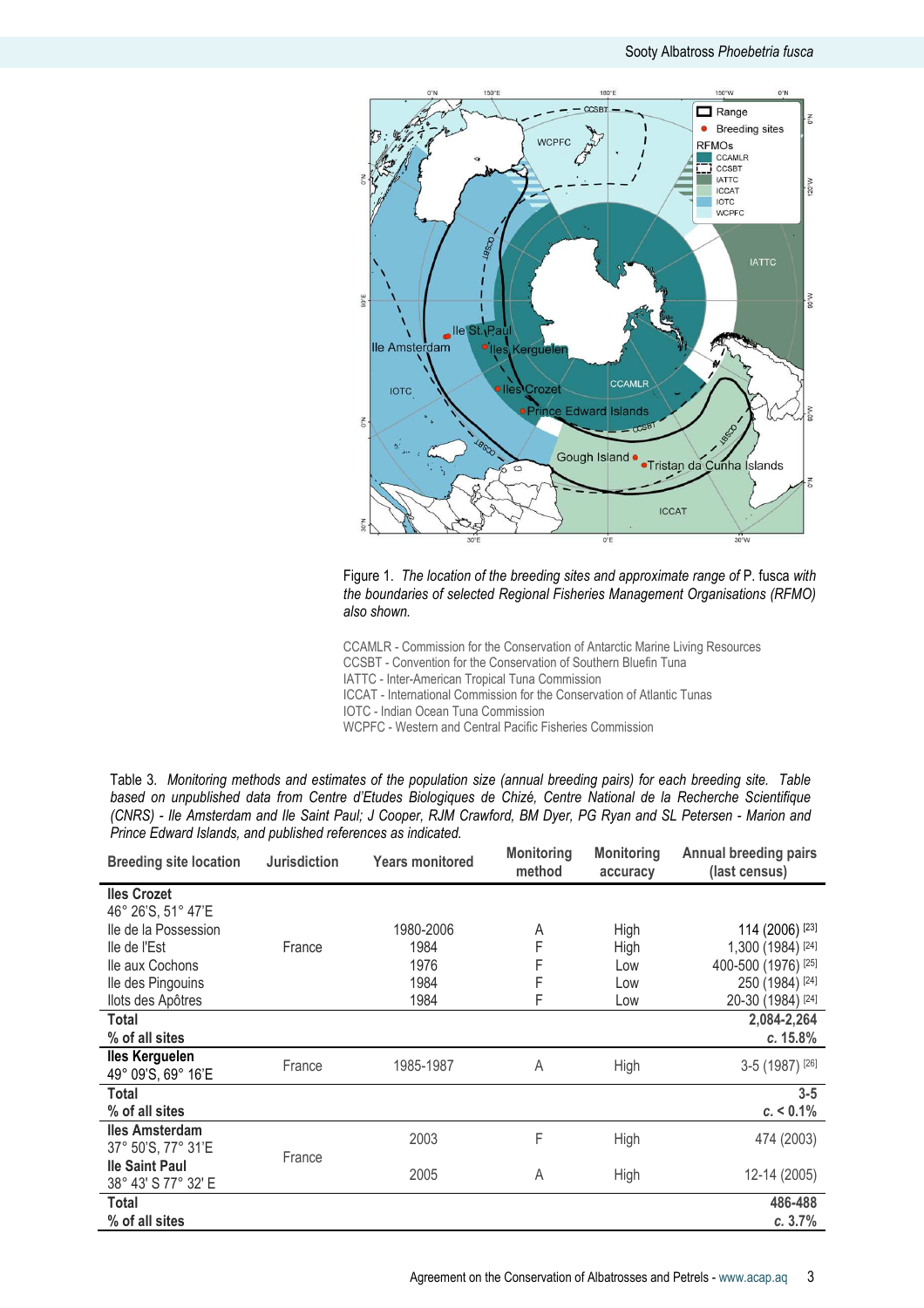

Figure 1. The location of the breeding sites and approximate range of P. fusca with the boundaries of selected Regional Fisheries Management Organisations (RFMO) also shown.

CCAMLR - Commission for the Conservation of Antarctic Marine Living Resources CCSBT - Convention for the Conservation of Southern Bluefin Tuna IATTC - Inter-American Tropical Tuna Commission

ICCAT - International Commission for the Conservation of Atlantic Tunas

IOTC - Indian Ocean Tuna Commission

WCPFC - Western and Central Pacific Fisheries Commission

| Table 3. Monitoring methods and estimates of the population size (annual breeding pairs) for each breeding site. Table |  |  |  |  |  |
|------------------------------------------------------------------------------------------------------------------------|--|--|--|--|--|
| based on unpublished data from Centre d'Etudes Biologiques de Chizé, Centre National de la Recherche Scientifique      |  |  |  |  |  |
| (CNRS) - Ile Amsterdam and Ile Saint Paul; J Cooper, RJM Crawford, BM Dyer, PG Ryan and SL Petersen - Marion and       |  |  |  |  |  |
| Prince Edward Islands, and published references as indicated.                                                          |  |  |  |  |  |

| <b>Breeding site location</b>                | <b>Jurisdiction</b> | <b>Years monitored</b> | <b>Monitoring</b><br>method | <b>Monitoring</b><br>accuracy | Annual breeding pairs<br>(last census) |
|----------------------------------------------|---------------------|------------------------|-----------------------------|-------------------------------|----------------------------------------|
| <b>Iles Crozet</b><br>46° 26'S, 51° 47'E     |                     |                        |                             |                               |                                        |
| lle de la Possession                         |                     | 1980-2006              | A                           | High                          | 114 (2006) [23]                        |
| lle de l'Est                                 | France              | 1984                   | F                           | High                          | 1,300 (1984) [24]                      |
| Ile aux Cochons                              |                     | 1976                   | F                           | Low                           | 400-500 (1976) [25]                    |
| lle des Pingouins                            |                     | 1984                   | F                           | Low                           | 250 (1984) [24]                        |
| llots des Apôtres                            |                     | 1984                   | F                           | Low                           | 20-30 (1984) [24]                      |
| Total                                        |                     |                        |                             |                               | 2,084-2,264                            |
| % of all sites                               |                     |                        |                             |                               | c. 15.8%                               |
| lles Kerguelen<br>49° 09'S, 69° 16'E         | France              | 1985-1987              | A                           | High                          | 3-5 (1987) [26]                        |
| <b>Total</b>                                 |                     |                        |                             |                               | $3 - 5$                                |
| % of all sites                               |                     |                        |                             |                               | $c. < 0.1\%$                           |
| <b>Iles Amsterdam</b><br>37° 50'S, 77° 31'E  | France              | 2003                   | F                           | High                          | 474 (2003)                             |
| <b>Ile Saint Paul</b><br>38° 43' S 77° 32' E |                     | 2005                   | A                           | High                          | 12-14 (2005)                           |
| Total<br>% of all sites                      |                     |                        |                             |                               | 486-488<br>c.3.7%                      |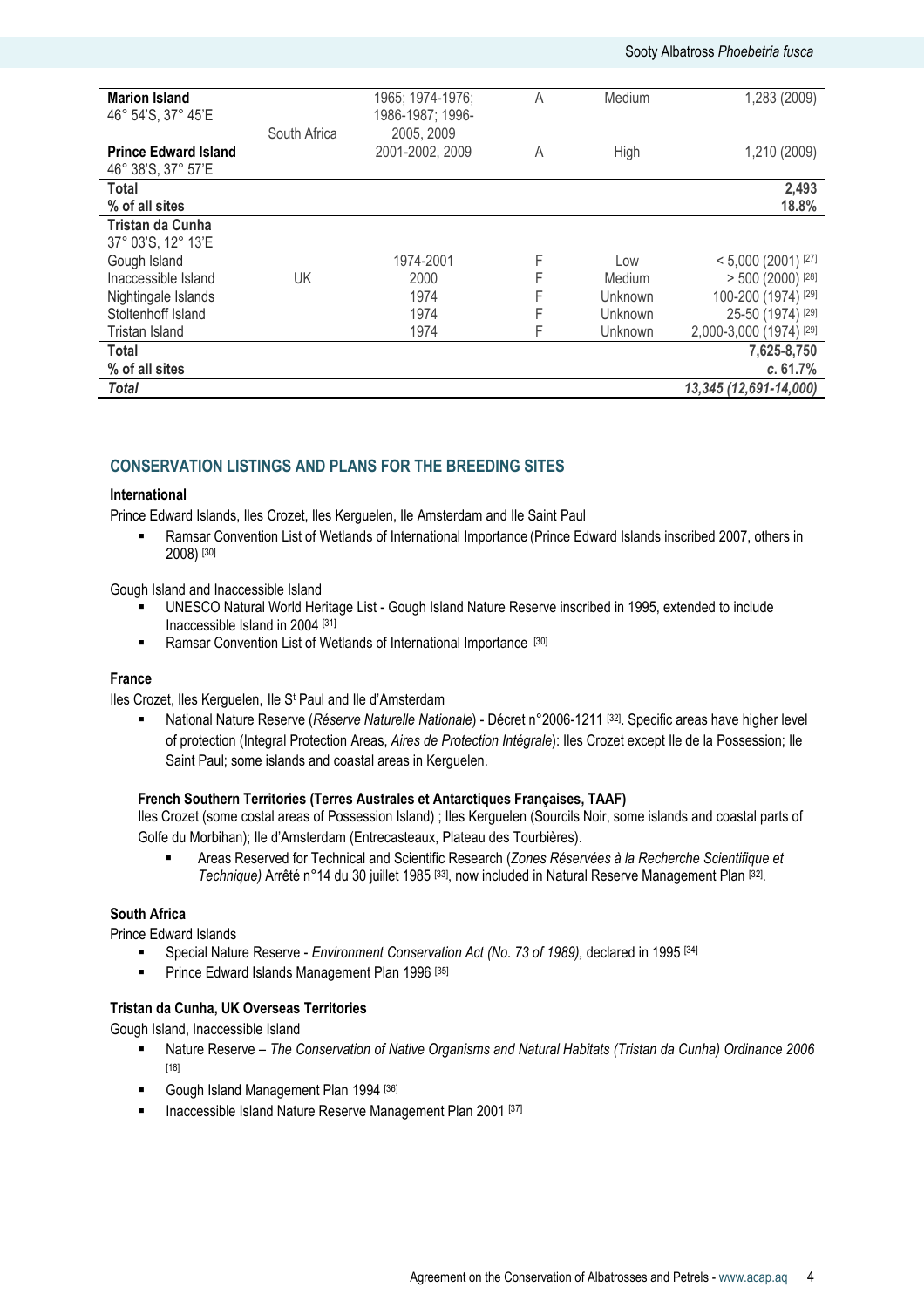### Sooty Albatross Phoebetria fusca

| <b>Marion Island</b>        |              | 1965; 1974-1976; | А | Medium         | 1,283 (2009)            |
|-----------------------------|--------------|------------------|---|----------------|-------------------------|
| 46° 54'S, 37° 45'E          |              | 1986-1987; 1996- |   |                |                         |
|                             | South Africa | 2005, 2009       |   |                |                         |
|                             |              |                  |   |                |                         |
| <b>Prince Edward Island</b> |              | 2001-2002, 2009  | Α | High           | 1,210 (2009)            |
| 46° 38'S, 37° 57'E          |              |                  |   |                |                         |
| Total                       |              |                  |   |                | 2,493                   |
| % of all sites              |              |                  |   |                | 18.8%                   |
| Tristan da Cunha            |              |                  |   |                |                         |
| 37° 03'S, 12° 13'E          |              |                  |   |                |                         |
| Gough Island                |              | 1974-2001        | F | Low            | $< 5,000$ (2001) [27]   |
| Inaccessible Island         | UK           | 2000             | F | Medium         | $> 500$ (2000) [28]     |
| Nightingale Islands         |              | 1974             | F | <b>Unknown</b> | 100-200 (1974) [29]     |
| Stoltenhoff Island          |              | 1974             | F | <b>Unknown</b> | 25-50 (1974) [29]       |
| Tristan Island              |              | 1974             | F | <b>Unknown</b> | 2,000-3,000 (1974) [29] |
| Total                       |              |                  |   |                | 7,625-8,750             |
| % of all sites              |              |                  |   |                | c.61.7%                 |
| <b>Total</b>                |              |                  |   |                | 13,345 (12,691-14,000)  |

# CONSERVATION LISTINGS AND PLANS FOR THE BREEDING SITES

### International

Prince Edward Islands, Iles Crozet, Iles Kerguelen, Ile Amsterdam and Ile Saint Paul

 Ramsar Convention List of Wetlands of International Importance (Prince Edward Islands inscribed 2007, others in 2008) [30]

Gough Island and Inaccessible Island

- UNESCO Natural World Heritage List Gough Island Nature Reserve inscribed in 1995, extended to include Inaccessible Island in 2004 [31]
- **EXECUTE:** Ramsar Convention List of Wetlands of International Importance [30]

# France

Iles Crozet, Iles Kerguelen, Ile S<sup>t</sup> Paul and Ile d'Amsterdam

 National Nature Reserve (Réserve Naturelle Nationale) - Décret n°2006-1211 [32]. Specific areas have higher level of protection (Integral Protection Areas, Aires de Protection Intégrale): Iles Crozet except Ile de la Possession; Ile Saint Paul; some islands and coastal areas in Kerguelen.

# French Southern Territories (Terres Australes et Antarctiques Françaises, TAAF)

Iles Crozet (some costal areas of Possession Island) ; Iles Kerguelen (Sourcils Noir, some islands and coastal parts of Golfe du Morbihan); Ile d'Amsterdam (Entrecasteaux, Plateau des Tourbières).

 Areas Reserved for Technical and Scientific Research (Zones Réservées à la Recherche Scientifique et Technique) Arrêté n°14 du 30 juillet 1985 <sup>[33]</sup>, now included in Natural Reserve Management Plan <sup>[32]</sup>.

# South Africa

Prince Edward Islands

- Special Nature Reserve Environment Conservation Act (No. 73 of 1989), declared in 1995 [34]
- Prince Edward Islands Management Plan 1996 [35]

#### Tristan da Cunha, UK Overseas Territories

Gough Island, Inaccessible Island

- Nature Reserve The Conservation of Native Organisms and Natural Habitats (Tristan da Cunha) Ordinance 2006 [18]
- Gough Island Management Plan 1994 [36]
- **Inaccessible Island Nature Reserve Management Plan 2001 [37]**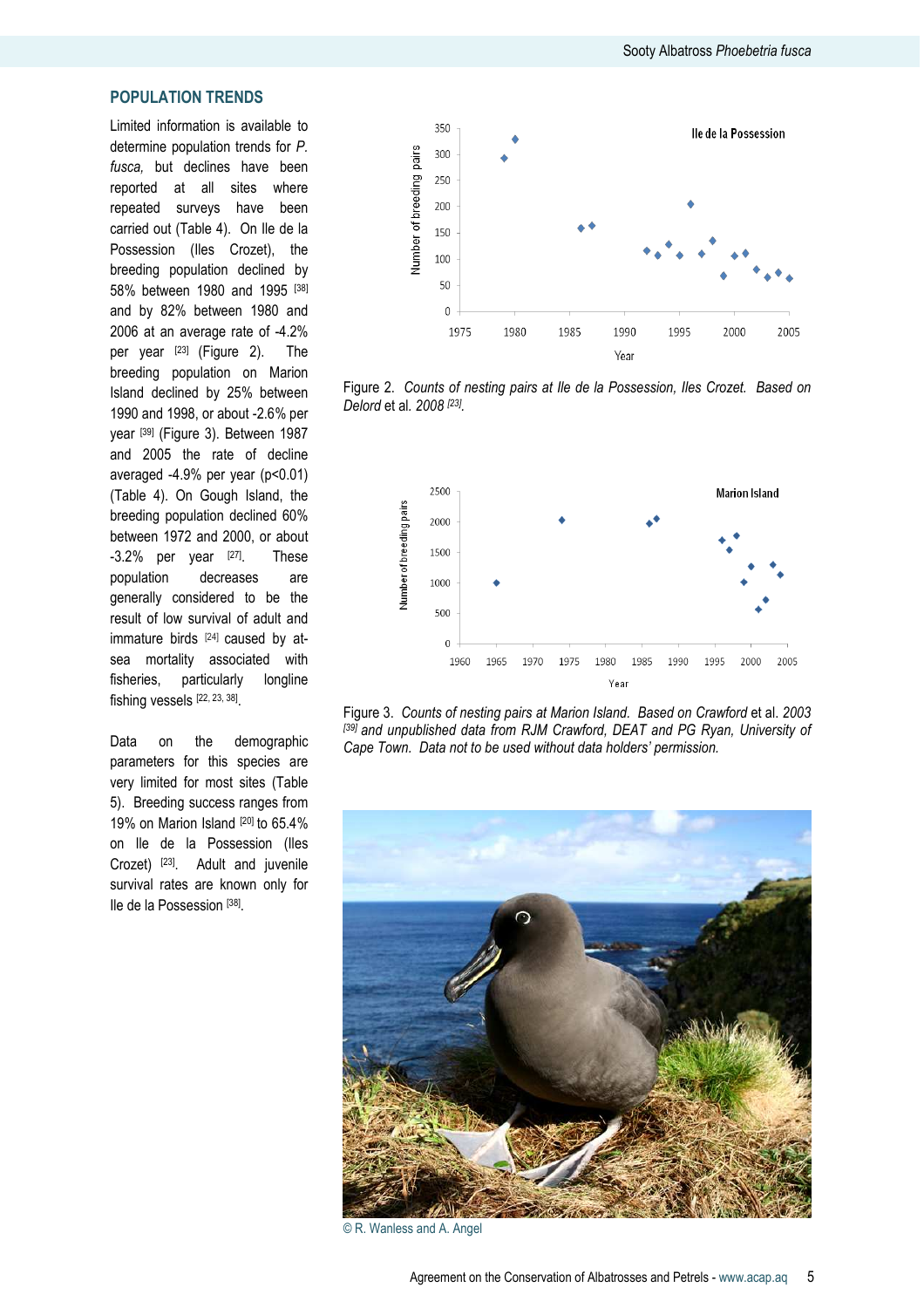# POPULATION TRENDS

Limited information is available to determine population trends for P. fusca, but declines have been reported at all sites where repeated surveys have been carried out (Table 4). On Ile de la Possession (Iles Crozet), the breeding population declined by 58% between 1980 and 1995 [38] and by 82% between 1980 and 2006 at an average rate of -4.2% per year [23] (Figure 2). The breeding population on Marion Island declined by 25% between 1990 and 1998, or about -2.6% per year [39] (Figure 3). Between 1987 and 2005 the rate of decline averaged -4.9% per year (p<0.01) (Table 4). On Gough Island, the breeding population declined 60% between 1972 and 2000, or about -3.2% per year [27]. These population decreases are generally considered to be the result of low survival of adult and immature birds [24] caused by atsea mortality associated with fisheries, particularly longline fishing vessels [22, 23, 38] .

Data on the demographic parameters for this species are very limited for most sites (Table 5). Breeding success ranges from 19% on Marion Island [20] to 65.4% on Ile de la Possession (Iles Crozet) [23]. Adult and juvenile survival rates are known only for Ile de la Possession [38] .



Figure 2. Counts of nesting pairs at Ile de la Possession, Iles Crozet. Based on Delord et al. 2008<sup>[23]</sup>.



Figure 3. Counts of nesting pairs at Marion Island. Based on Crawford et al. 2003 [39] and unpublished data from RJM Crawford, DEAT and PG Ryan, University of Cape Town. Data not to be used without data holders' permission.



© R. Wanless and A. Angel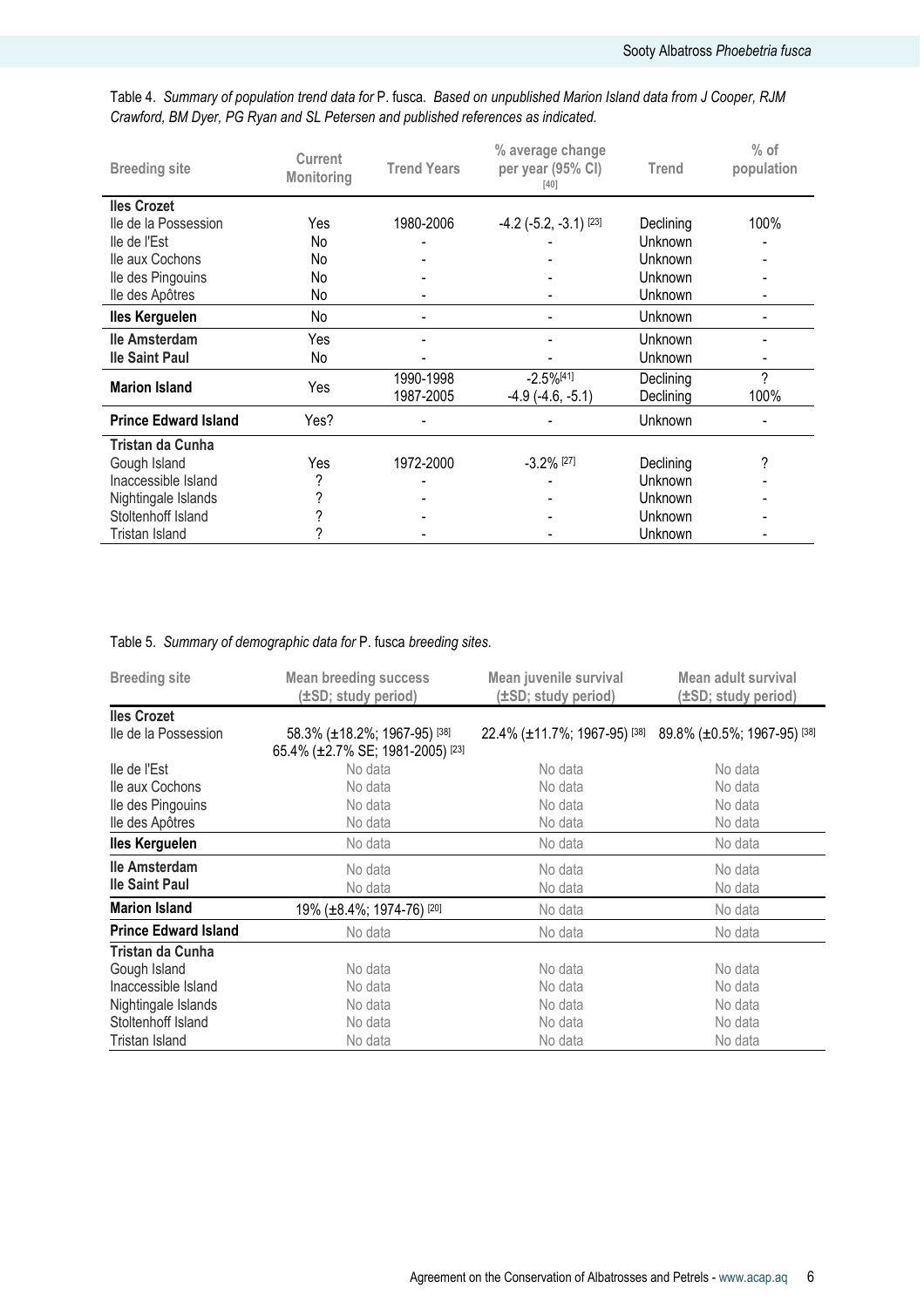| <b>Breeding site</b>        | <b>Current</b><br><b>Monitoring</b> | <b>Trend Years</b> | % average change<br>per year (95% CI)<br>$[40]$ | <b>Trend</b> | $%$ of<br>population |
|-----------------------------|-------------------------------------|--------------------|-------------------------------------------------|--------------|----------------------|
| <b>Iles Crozet</b>          |                                     |                    |                                                 |              |                      |
| lle de la Possession        | Yes                                 | 1980-2006          | $-4.2$ ( $-5.2$ , $-3.1$ ) [23]                 | Declining    | 100%                 |
| lle de l'Est                | No                                  |                    |                                                 | Unknown      |                      |
| Ile aux Cochons             | No                                  |                    |                                                 | Unknown      |                      |
| lle des Pingouins           | No                                  |                    |                                                 | Unknown      |                      |
| lle des Apôtres             | No                                  |                    |                                                 | Unknown      |                      |
| <b>Iles Kerguelen</b>       | No                                  |                    |                                                 | Unknown      |                      |
| lle Amsterdam               | Yes                                 |                    |                                                 | Unknown      |                      |
| <b>Ile Saint Paul</b>       | No                                  |                    |                                                 | Unknown      |                      |
|                             |                                     | 1990-1998          | $-2.5\%$ <sup>[41]</sup>                        | Declining    | ?                    |
| <b>Marion Island</b>        | Yes                                 | 1987-2005          | $-4.9$ $(-4.6, -5.1)$                           | Declining    | 100%                 |
| <b>Prince Edward Island</b> | Yes?                                |                    |                                                 | Unknown      |                      |
| Tristan da Cunha            |                                     |                    |                                                 |              |                      |
| Gough Island                | Yes                                 | 1972-2000          | $-3.2\%$ [27]                                   | Declining    | ?                    |
| Inaccessible Island         | ?                                   |                    |                                                 | Unknown      |                      |
| Nightingale Islands         | ?                                   |                    |                                                 | Unknown      |                      |
| Stoltenhoff Island          |                                     |                    |                                                 | Unknown      |                      |
| Tristan Island              |                                     |                    |                                                 | Unknown      |                      |

Table 4. Summary of population trend data for P. fusca. Based on unpublished Marion Island data from J Cooper, RJM Crawford, BM Dyer, PG Ryan and SL Petersen and published references as indicated.

# Table 5. Summary of demographic data for P. fusca breeding sites.

| <b>Breeding site</b>        | <b>Mean breeding success</b><br>(±SD; study period)                         | Mean juvenile survival<br>(±SD; study period)            | Mean adult survival<br>(±SD; study period) |  |
|-----------------------------|-----------------------------------------------------------------------------|----------------------------------------------------------|--------------------------------------------|--|
| <b>Iles Crozet</b>          |                                                                             |                                                          |                                            |  |
| lle de la Possession        | 58.3% (±18.2%; 1967-95) [38]<br>65.4% (±2.7% SE; 1981-2005) <sup>[23]</sup> | 22.4% (±11.7%; 1967-95) [38] 89.8% (±0.5%; 1967-95) [38] |                                            |  |
| lle de l'Est                | No data                                                                     | No data                                                  | No data                                    |  |
| lle aux Cochons             | No data                                                                     | No data                                                  | No data                                    |  |
| lle des Pingouins           | No data                                                                     | No data                                                  | No data                                    |  |
| lle des Apôtres             | No data                                                                     | No data                                                  | No data                                    |  |
| <b>Iles Kerguelen</b>       | No data                                                                     | No data                                                  | No data                                    |  |
| lle Amsterdam               | No data                                                                     | No data                                                  | No data                                    |  |
| <b>Ile Saint Paul</b>       | No data                                                                     | No data                                                  | No data                                    |  |
| <b>Marion Island</b>        | 19% (±8.4%; 1974-76) [20]                                                   | No data                                                  | No data                                    |  |
| <b>Prince Edward Island</b> | No data                                                                     | No data                                                  | No data                                    |  |
| Tristan da Cunha            |                                                                             |                                                          |                                            |  |
| Gough Island                | No data                                                                     | No data                                                  | No data                                    |  |
| Inaccessible Island         | No data                                                                     |                                                          | No data                                    |  |
| Nightingale Islands         | No data                                                                     | No data                                                  | No data                                    |  |
| Stoltenhoff Island          | No data                                                                     | No data                                                  | No data                                    |  |
| Tristan Island              | No data                                                                     | No data                                                  | No data                                    |  |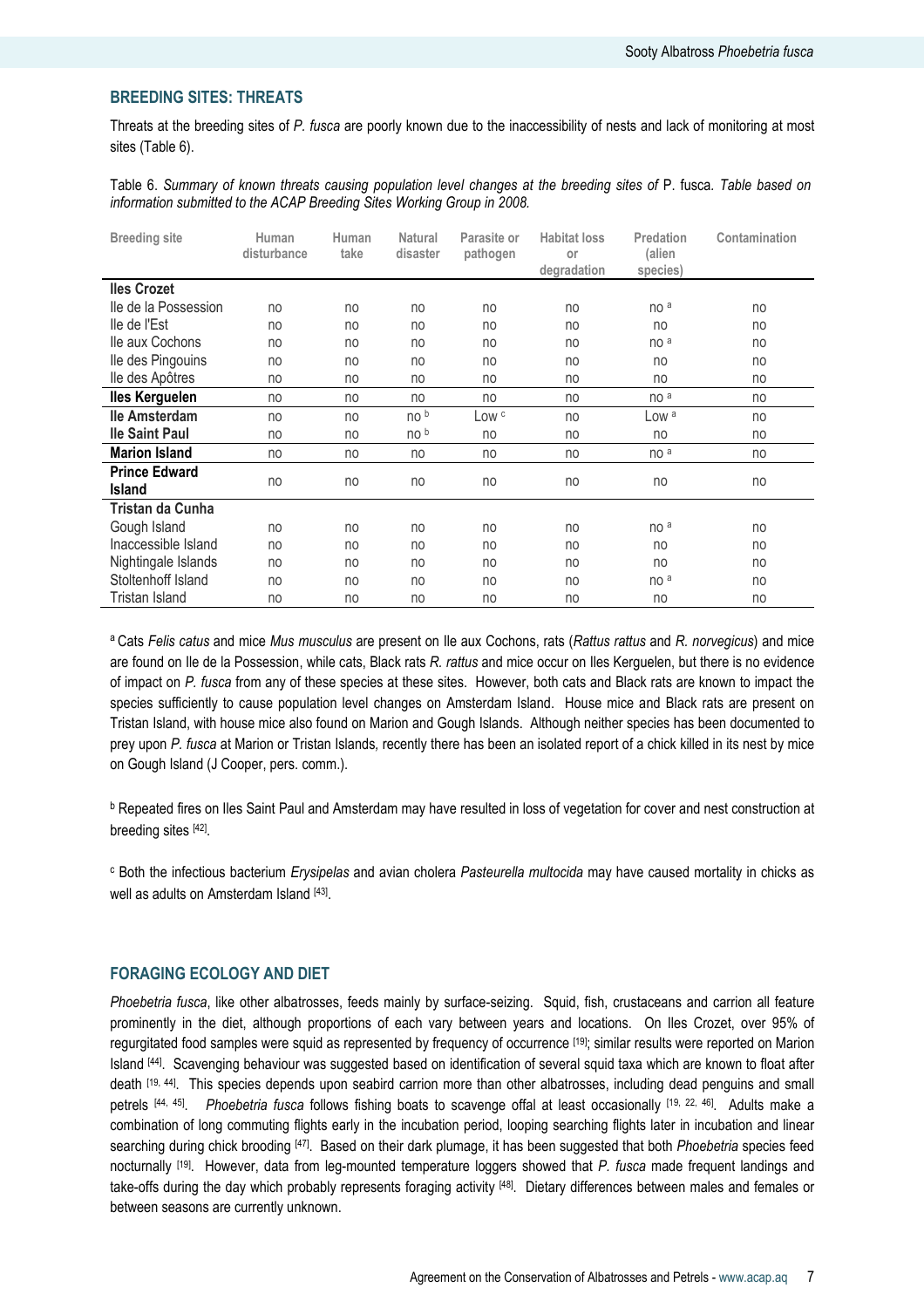# BREEDING SITES: THREATS

Threats at the breeding sites of P. fusca are poorly known due to the inaccessibility of nests and lack of monitoring at most sites (Table 6).

Table 6. Summary of known threats causing population level changes at the breeding sites of P. fusca. Table based on information submitted to the ACAP Breeding Sites Working Group in 2008.

| <b>Breeding site</b>                  | Human<br>disturbance | Human<br>take | <b>Natural</b><br>disaster | Parasite or<br>pathogen | <b>Habitat loss</b><br>or<br>degradation | Predation<br>(alien<br>species) | Contamination |
|---------------------------------------|----------------------|---------------|----------------------------|-------------------------|------------------------------------------|---------------------------------|---------------|
| <b>Iles Crozet</b>                    |                      |               |                            |                         |                                          |                                 |               |
| lle de la Possession                  | no                   | no            | no                         | no                      | no                                       | no <sup>a</sup>                 | no            |
| lle de l'Est                          | no                   | no            | no                         | no                      | no                                       | no                              | no            |
| lle aux Cochons                       | no                   | no            | no                         | no                      | no                                       | no a                            | no            |
| lle des Pingouins                     | no                   | no            | no                         | no                      | no                                       | no                              | no            |
| lle des Apôtres                       | no                   | no            | no                         | no                      | no                                       | no                              | no            |
| <b>Iles Kerguelen</b>                 | no                   | no            | no                         | no                      | no                                       | no <sup>a</sup>                 | no            |
| lle Amsterdam                         | no                   | no            | no b                       | LOW <sup>c</sup>        | no                                       | Low <sup>a</sup>                | no            |
| <b>Ile Saint Paul</b>                 | no                   | no            | no b                       | no                      | no                                       | no                              | no            |
| <b>Marion Island</b>                  | no                   | no            | no                         | no                      | no                                       | no <sup>a</sup>                 | no            |
| <b>Prince Edward</b><br><b>Island</b> | no                   | no            | no                         | no                      | no                                       | no                              | no            |
| Tristan da Cunha                      |                      |               |                            |                         |                                          |                                 |               |
| Gough Island                          | no                   | no            | no                         | no                      | no                                       | no <sup>a</sup>                 | no            |
| Inaccessible Island                   | no                   | no            | no                         | no                      | no                                       | no                              | no            |
| Nightingale Islands                   | no                   | no            | no                         | no                      | no                                       | no                              | no            |
| Stoltenhoff Island                    | no                   | no            | no                         | no                      | no                                       | no a                            | no            |
| Tristan Island                        | no                   | no            | no                         | no                      | no                                       | no                              | no            |

<sup>a</sup> Cats Felis catus and mice Mus musculus are present on Ile aux Cochons, rats (Rattus rattus and R. norvegicus) and mice are found on Ile de la Possession, while cats, Black rats R. rattus and mice occur on Iles Kerguelen, but there is no evidence of impact on P. fusca from any of these species at these sites. However, both cats and Black rats are known to impact the species sufficiently to cause population level changes on Amsterdam Island. House mice and Black rats are present on Tristan Island, with house mice also found on Marion and Gough Islands. Although neither species has been documented to prey upon P. fusca at Marion or Tristan Islands, recently there has been an isolated report of a chick killed in its nest by mice on Gough Island (J Cooper, pers. comm.).

<sup>b</sup> Repeated fires on Iles Saint Paul and Amsterdam may have resulted in loss of vegetation for cover and nest construction at breeding sites [42].

<sup>c</sup> Both the infectious bacterium *Erysipelas* and avian cholera Pasteurella multocida may have caused mortality in chicks as well as adults on Amsterdam Island [43].

# FORAGING ECOLOGY AND DIET

Phoebetria fusca, like other albatrosses, feeds mainly by surface-seizing. Squid, fish, crustaceans and carrion all feature prominently in the diet, although proportions of each vary between years and locations. On Iles Crozet, over 95% of regurgitated food samples were squid as represented by frequency of occurrence [19]; similar results were reported on Marion Island [44]. Scavenging behaviour was suggested based on identification of several squid taxa which are known to float after death [19, 44]. This species depends upon seabird carrion more than other albatrosses, including dead penguins and small petrels [44, 45]. Phoebetria fusca follows fishing boats to scavenge offal at least occasionally [19, 22, 46]. Adults make a combination of long commuting flights early in the incubation period, looping searching flights later in incubation and linear searching during chick brooding [47]. Based on their dark plumage, it has been suggested that both Phoebetria species feed nocturnally <sup>[19]</sup>. However, data from leg-mounted temperature loggers showed that P. fusca made frequent landings and take-offs during the day which probably represents foraging activity [48]. Dietary differences between males and females or between seasons are currently unknown.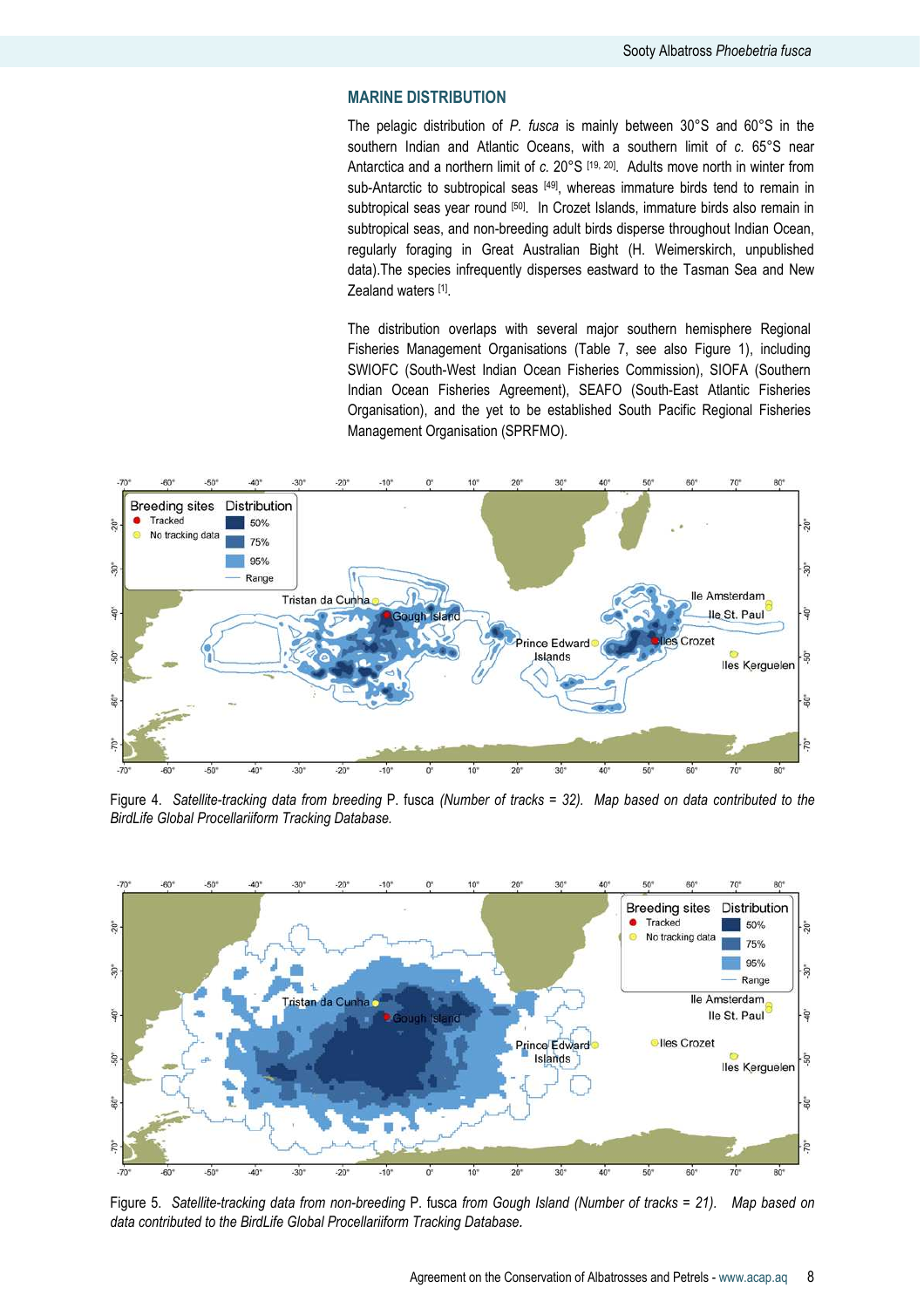# MARINE DISTRIBUTION

The pelagic distribution of P. fusca is mainly between 30°S and 60°S in the southern Indian and Atlantic Oceans, with a southern limit of c. 65°S near Antarctica and a northern limit of  $c$ . 20°S  $[19, 20]$ . Adults move north in winter from sub-Antarctic to subtropical seas [49], whereas immature birds tend to remain in subtropical seas year round [50]. In Crozet Islands, immature birds also remain in subtropical seas, and non-breeding adult birds disperse throughout Indian Ocean, regularly foraging in Great Australian Bight (H. Weimerskirch, unpublished data).The species infrequently disperses eastward to the Tasman Sea and New Zealand waters [1].

The distribution overlaps with several major southern hemisphere Regional Fisheries Management Organisations (Table 7, see also Figure 1), including SWIOFC (South-West Indian Ocean Fisheries Commission), SIOFA (Southern Indian Ocean Fisheries Agreement), SEAFO (South-East Atlantic Fisheries Organisation), and the yet to be established South Pacific Regional Fisheries Management Organisation (SPRFMO).



Figure 4. Satellite-tracking data from breeding P. fusca (Number of tracks = 32). Map based on data contributed to the BirdLife Global Procellariiform Tracking Database.



Figure 5. Satellite-tracking data from non-breeding P. fusca from Gough Island (Number of tracks = 21). Map based on data contributed to the BirdLife Global Procellariiform Tracking Database.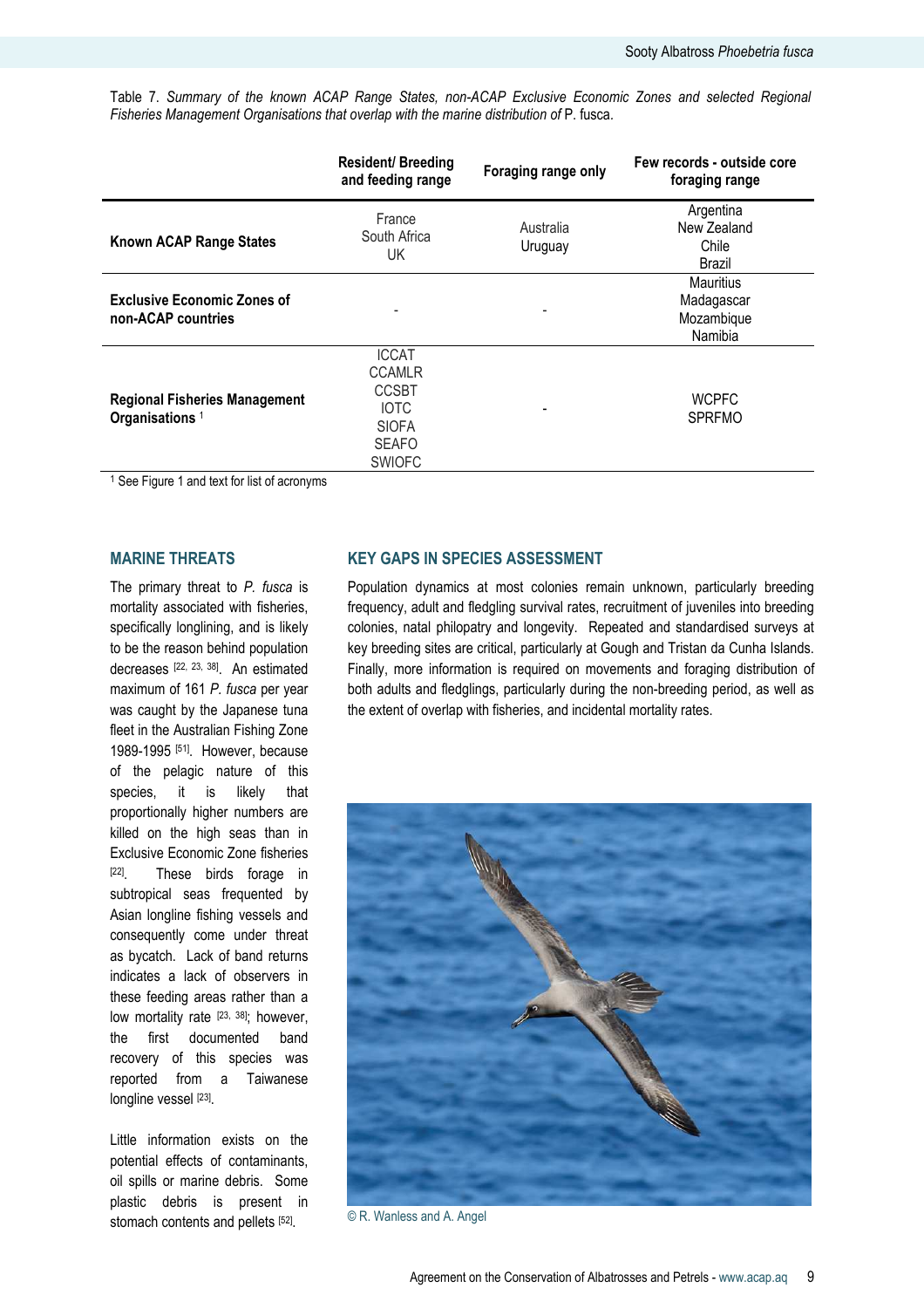Table 7. Summary of the known ACAP Range States, non-ACAP Exclusive Economic Zones and selected Regional Fisheries Management Organisations that overlap with the marine distribution of P. fusca.

|                                                                    | <b>Resident/Breeding</b><br>and feeding range                                                                 | Foraging range only  | Few records - outside core<br>foraging range            |
|--------------------------------------------------------------------|---------------------------------------------------------------------------------------------------------------|----------------------|---------------------------------------------------------|
| Known ACAP Range States                                            | France<br>South Africa<br>UK.                                                                                 | Australia<br>Uruguay | Argentina<br>New Zealand<br>Chile<br>Brazil             |
| <b>Exclusive Economic Zones of</b><br>non-ACAP countries           |                                                                                                               |                      | <b>Mauritius</b><br>Madagascar<br>Mozambique<br>Namibia |
| <b>Regional Fisheries Management</b><br>Organisations <sup>1</sup> | <b>ICCAT</b><br><b>CCAMLR</b><br><b>CCSBT</b><br><b>IOTC</b><br><b>SIOFA</b><br><b>SEAFO</b><br><b>SWIOFC</b> |                      | <b>WCPFC</b><br><b>SPRFMO</b>                           |

<sup>1</sup> See Figure 1 and text for list of acronyms

# MARINE THREATS

The primary threat to  $P$ . fusca is mortality associated with fisheries, specifically longlining, and is likely to be the reason behind population decreases [22, 23, 38]. An estimated maximum of 161 P. fusca per year was caught by the Japanese tuna fleet in the Australian Fishing Zone 1989-1995 [51]. However, because of the pelagic nature of this species, it is likely that proportionally higher numbers are killed on the high seas than in Exclusive Economic Zone fisheries [22]. These birds forage in subtropical seas frequented by Asian longline fishing vessels and consequently come under threat as bycatch. Lack of band returns indicates a lack of observers in these feeding areas rather than a low mortality rate [23, 38]; however, the first documented band recovery of this species was reported from a Taiwanese longline vessel [23].

Little information exists on the potential effects of contaminants, oil spills or marine debris. Some plastic debris is present in stomach contents and pellets [52].

# KEY GAPS IN SPECIES ASSESSMENT

Population dynamics at most colonies remain unknown, particularly breeding frequency, adult and fledgling survival rates, recruitment of juveniles into breeding colonies, natal philopatry and longevity. Repeated and standardised surveys at key breeding sites are critical, particularly at Gough and Tristan da Cunha Islands. Finally, more information is required on movements and foraging distribution of both adults and fledglings, particularly during the non-breeding period, as well as the extent of overlap with fisheries, and incidental mortality rates.



© R. Wanless and A. Angel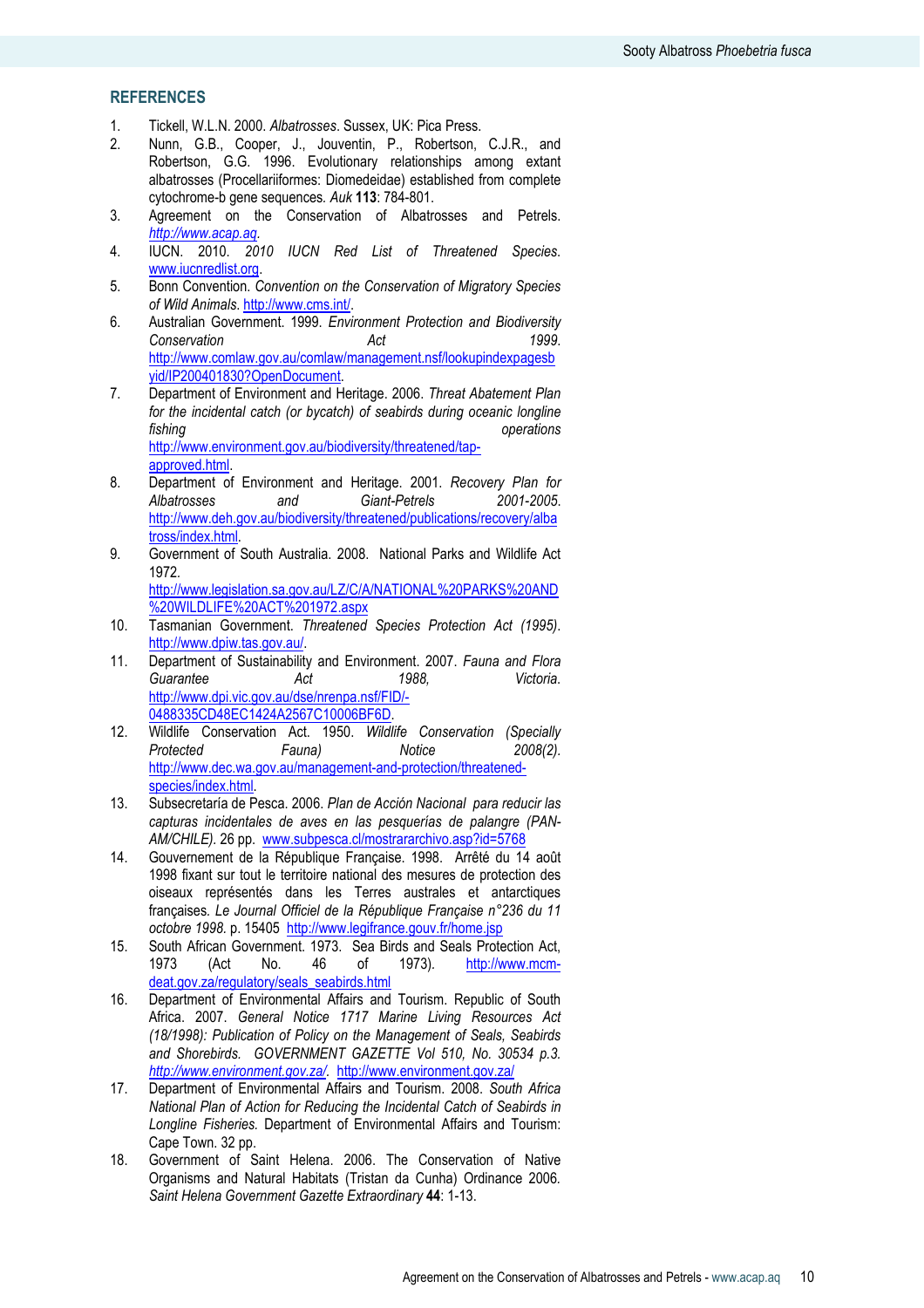# REFERENCES

- 1. Tickell, W.L.N. 2000. Albatrosses. Sussex, UK: Pica Press.
- 2. Nunn, G.B., Cooper, J., Jouventin, P., Robertson, C.J.R., and Robertson, G.G. 1996. Evolutionary relationships among extant albatrosses (Procellariiformes: Diomedeidae) established from complete cytochrome-b gene sequences. Auk 113: 784-801.
- 3. Agreement on the Conservation of Albatrosses and Petrels. http://www.acap.aq.
- 4. IUCN. 2010. 2010 IUCN Red List of Threatened Species. www.iucnredlist.org.
- 5. Bonn Convention. Convention on the Conservation of Migratory Species of Wild Animals. http://www.cms.int/.
- 6. Australian Government. 1999. Environment Protection and Biodiversity Conservation **Act** Act 1999. http://www.comlaw.gov.au/comlaw/management.nsf/lookupindexpagesb yid/IP200401830?OpenDocument.
- 7. Department of Environment and Heritage. 2006. Threat Abatement Plan for the incidental catch (or bycatch) of seabirds during oceanic longline fishing **operations** http://www.environment.gov.au/biodiversity/threatened/tapapproved.html.
- 8. Department of Environment and Heritage. 2001. Recovery Plan for<br>Albatrosses and Giant-Petrels 2001-2005. and Giant-Petrels http://www.deh.gov.au/biodiversity/threatened/publications/recovery/alba tross/index.html.
- 9. Government of South Australia. 2008. National Parks and Wildlife Act 1972.

http://www.legislation.sa.gov.au/LZ/C/A/NATIONAL%20PARKS%20AND %20WILDLIFE%20ACT%201972.aspx

- 10. Tasmanian Government. Threatened Species Protection Act (1995). http://www.dpiw.tas.gov.au/.
- 11. Department of Sustainability and Environment. 2007. Fauna and Flora Guarantee **Act** 1988, Victoria. http://www.dpi.vic.gov.au/dse/nrenpa.nsf/FID/- 0488335CD48EC1424A2567C10006BF6D.
- 12. Wildlife Conservation Act. 1950. Wildlife Conservation (Specially<br>Protected Fauna) Motice 2008(2). Protected Fauna) Notice http://www.dec.wa.gov.au/management-and-protection/threatenedspecies/index.html.
- 13. Subsecretaría de Pesca. 2006. Plan de Acción Nacional para reducir las capturas incidentales de aves en las pesquerías de palangre (PAN-AM/CHILE). 26 pp. www.subpesca.cl/mostrararchivo.asp?id=5768
- 14. Gouvernement de la République Française. 1998. Arrêté du 14 août 1998 fixant sur tout le territoire national des mesures de protection des oiseaux représentés dans les Terres australes et antarctiques françaises. Le Journal Officiel de la République Française n°236 du 11 octobre 1998. p. 15405 http://www.legifrance.gouv.fr/home.jsp
- 15. South African Government. 1973. Sea Birds and Seals Protection Act,<br>1973. (Act No. 46 of 1973). http://www.mcmhttp://www.mcmdeat.gov.za/regulatory/seals\_seabirds.html
- 16. Department of Environmental Affairs and Tourism. Republic of South Africa. 2007. General Notice 1717 Marine Living Resources Act (18/1998): Publication of Policy on the Management of Seals, Seabirds and Shorebirds. GOVERNMENT GAZETTE Vol 510, No. 30534 p.3. http://www.environment.gov.za/. http://www.environment.gov.za/
- 17. Department of Environmental Affairs and Tourism. 2008. South Africa National Plan of Action for Reducing the Incidental Catch of Seabirds in Longline Fisheries. Department of Environmental Affairs and Tourism: Cape Town. 32 pp.
- 18. Government of Saint Helena. 2006. The Conservation of Native Organisms and Natural Habitats (Tristan da Cunha) Ordinance 2006. Saint Helena Government Gazette Extraordinary 44: 1-13.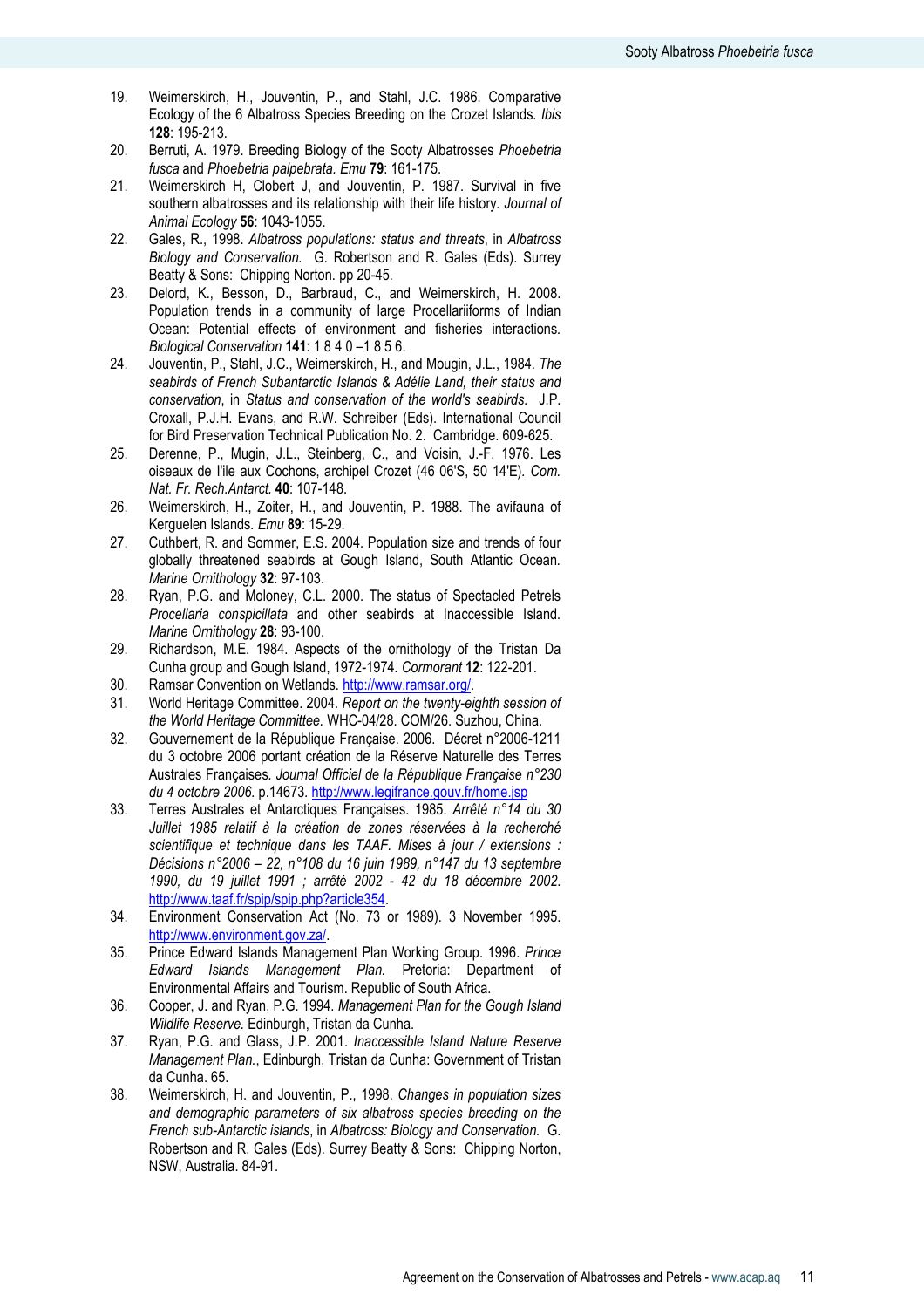- 19. Weimerskirch, H., Jouventin, P., and Stahl, J.C. 1986. Comparative Ecology of the 6 Albatross Species Breeding on the Crozet Islands. Ibis 128: 195-213.
- 20. Berruti, A. 1979. Breeding Biology of the Sooty Albatrosses Phoebetria fusca and Phoebetria palpebrata. Emu 79: 161-175.
- 21. Weimerskirch H, Clobert J, and Jouventin, P. 1987. Survival in five southern albatrosses and its relationship with their life history. Journal of Animal Ecology 56: 1043-1055.
- 22. Gales, R., 1998. Albatross populations: status and threats, in Albatross Biology and Conservation. G. Robertson and R. Gales (Eds). Surrey Beatty & Sons: Chipping Norton. pp 20-45.
- 23. Delord, K., Besson, D., Barbraud, C., and Weimerskirch, H. 2008. Population trends in a community of large Procellariiforms of Indian Ocean: Potential effects of environment and fisheries interactions. Biological Conservation 141: 1 8 4 0 –1 8 5 6.
- 24. Jouventin, P., Stahl, J.C., Weimerskirch, H., and Mougin, J.L., 1984. The seabirds of French Subantarctic Islands & Adélie Land, their status and conservation, in Status and conservation of the world's seabirds. J.P. Croxall, P.J.H. Evans, and R.W. Schreiber (Eds). International Council for Bird Preservation Technical Publication No. 2. Cambridge. 609-625.
- 25. Derenne, P., Mugin, J.L., Steinberg, C., and Voisin, J.-F. 1976. Les oiseaux de I'ile aux Cochons, archipel Crozet (46 06'S, 50 14'E). Com. Nat. Fr. Rech.Antarct. 40: 107-148.
- 26. Weimerskirch, H., Zoiter, H., and Jouventin, P. 1988. The avifauna of Kerguelen Islands. Emu 89: 15-29.
- 27. Cuthbert, R. and Sommer, E.S. 2004. Population size and trends of four globally threatened seabirds at Gough Island, South Atlantic Ocean. Marine Ornithology 32: 97-103.
- 28. Ryan, P.G. and Moloney, C.L. 2000. The status of Spectacled Petrels Procellaria conspicillata and other seabirds at Inaccessible Island. Marine Ornithology 28: 93-100.
- 29. Richardson, M.E. 1984. Aspects of the ornithology of the Tristan Da Cunha group and Gough Island, 1972-1974. Cormorant 12: 122-201.
- 30. Ramsar Convention on Wetlands. http://www.ramsar.org/.
- 31. World Heritage Committee. 2004. Report on the twenty-eighth session of the World Heritage Committee. WHC-04/28. COM/26. Suzhou, China.
- 32. Gouvernement de la République Française. 2006. Décret n°2006-1211 du 3 octobre 2006 portant création de la Réserve Naturelle des Terres Australes Françaises. Journal Officiel de la République Française n°230 du 4 octobre 2006. p.14673. http://www.legifrance.gouv.fr/home.jsp
- 33. Terres Australes et Antarctiques Françaises. 1985. Arrêté n°14 du 30 Juillet 1985 relatif à la création de zones réservées à la recherché scientifique et technique dans les TAAF. Mises à jour / extensions : Décisions n°2006 – 22, n°108 du 16 juin 1989, n°147 du 13 septembre 1990, du 19 juillet 1991 ; arrêté 2002 - 42 du 18 décembre 2002. http://www.taaf.fr/spip/spip.php?article354.
- 34. Environment Conservation Act (No. 73 or 1989). 3 November 1995. http://www.environment.gov.za/.
- 35. Prince Edward Islands Management Plan Working Group. 1996. Prince Edward Islands Management Plan. Pretoria: Department of Environmental Affairs and Tourism. Republic of South Africa.
- 36. Cooper, J. and Ryan, P.G. 1994. Management Plan for the Gough Island Wildlife Reserve. Edinburgh, Tristan da Cunha.
- 37. Ryan, P.G. and Glass, J.P. 2001. Inaccessible Island Nature Reserve Management Plan., Edinburgh, Tristan da Cunha: Government of Tristan da Cunha. 65.
- 38. Weimerskirch, H. and Jouventin, P., 1998. Changes in population sizes and demographic parameters of six albatross species breeding on the French sub-Antarctic islands, in Albatross: Biology and Conservation. G. Robertson and R. Gales (Eds). Surrey Beatty & Sons: Chipping Norton, NSW, Australia. 84-91.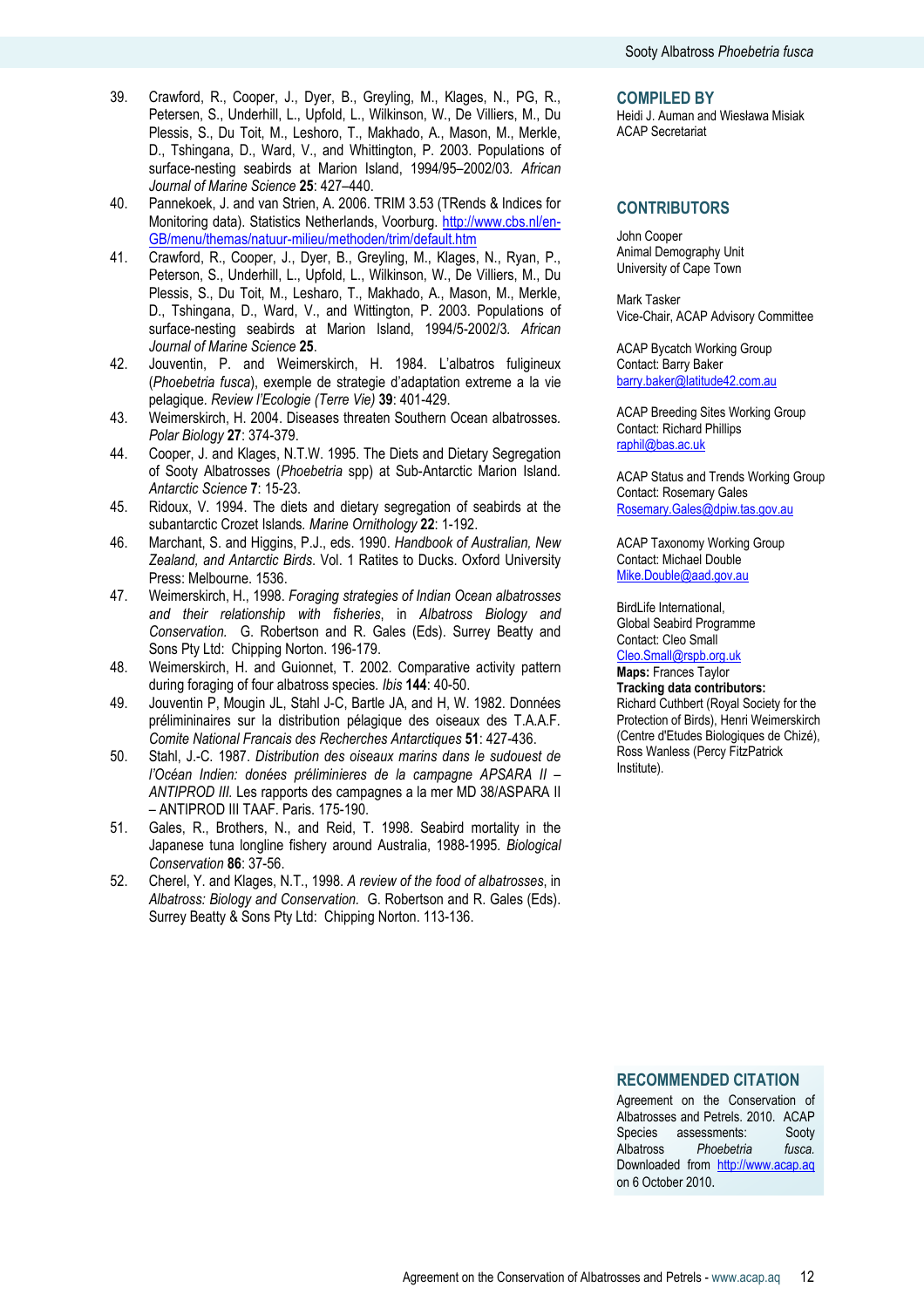- 39. Crawford, R., Cooper, J., Dyer, B., Greyling, M., Klages, N., PG, R., Petersen, S., Underhill, L., Upfold, L., Wilkinson, W., De Villiers, M., Du Plessis, S., Du Toit, M., Leshoro, T., Makhado, A., Mason, M., Merkle, D., Tshingana, D., Ward, V., and Whittington, P. 2003. Populations of surface-nesting seabirds at Marion Island, 1994/95–2002/03. African Journal of Marine Science 25: 427-440.
- 40. Pannekoek, J. and van Strien, A. 2006. TRIM 3.53 (TRends & Indices for Monitoring data). Statistics Netherlands, Voorburg. http://www.cbs.nl/en-GB/menu/themas/natuur-milieu/methoden/trim/default.htm
- 41. Crawford, R., Cooper, J., Dyer, B., Greyling, M., Klages, N., Ryan, P., Peterson, S., Underhill, L., Upfold, L., Wilkinson, W., De Villiers, M., Du Plessis, S., Du Toit, M., Lesharo, T., Makhado, A., Mason, M., Merkle, D., Tshingana, D., Ward, V., and Wittington, P. 2003. Populations of surface-nesting seabirds at Marion Island, 1994/5-2002/3. African Journal of Marine Science 25.
- 42. Jouventin, P. and Weimerskirch, H. 1984. L'albatros fuligineux (Phoebetria fusca), exemple de strategie d'adaptation extreme a la vie pelagique. Review l'Ecologie (Terre Vie) 39: 401-429.
- 43. Weimerskirch, H. 2004. Diseases threaten Southern Ocean albatrosses. Polar Biology 27: 374-379.
- 44. Cooper, J. and Klages, N.T.W. 1995. The Diets and Dietary Segregation of Sooty Albatrosses (Phoebetria spp) at Sub-Antarctic Marion Island. Antarctic Science 7: 15-23.
- 45. Ridoux, V. 1994. The diets and dietary segregation of seabirds at the subantarctic Crozet Islands. Marine Ornithology 22: 1-192.
- 46. Marchant, S. and Higgins, P.J., eds. 1990. Handbook of Australian, New Zealand, and Antarctic Birds. Vol. 1 Ratites to Ducks. Oxford University Press: Melbourne. 1536.
- 47. Weimerskirch, H., 1998. Foraging strategies of Indian Ocean albatrosses and their relationship with fisheries, in Albatross Biology and Conservation. G. Robertson and R. Gales (Eds). Surrey Beatty and Sons Pty Ltd: Chipping Norton. 196-179.
- 48. Weimerskirch, H. and Guionnet, T. 2002. Comparative activity pattern during foraging of four albatross species. Ibis 144: 40-50.
- 49. Jouventin P, Mougin JL, Stahl J-C, Bartle JA, and H, W. 1982. Données prélimininaires sur la distribution pélagique des oiseaux des T.A.A.F. Comite National Francais des Recherches Antarctiques 51: 427-436.
- 50. Stahl, J.-C. 1987. Distribution des oiseaux marins dans le sudouest de l'Océan Indien: donées préliminieres de la campagne APSARA II – ANTIPROD III. Les rapports des campagnes a la mer MD 38/ASPARA II – ANTIPROD III TAAF. Paris. 175-190.
- 51. Gales, R., Brothers, N., and Reid, T. 1998. Seabird mortality in the Japanese tuna longline fishery around Australia, 1988-1995. Biological Conservation 86: 37-56.
- 52. Cherel, Y. and Klages, N.T., 1998. A review of the food of albatrosses, in Albatross: Biology and Conservation. G. Robertson and R. Gales (Eds). Surrey Beatty & Sons Pty Ltd: Chipping Norton. 113-136.

#### COMPILED BY

Heidi J. Auman and Wiesława Misiak ACAP Secretariat

### **CONTRIBUTORS**

John Cooper Animal Demography Unit University of Cape Town

Mark Tasker Vice-Chair, ACAP Advisory Committee

ACAP Bycatch Working Group Contact: Barry Baker barry.baker@latitude42.com.au

ACAP Breeding Sites Working Group Contact: Richard Phillips raphil@bas.ac.uk

ACAP Status and Trends Working Group Contact: Rosemary Gales Rosemary.Gales@dpiw.tas.gov.au

ACAP Taxonomy Working Group Contact: Michael Double Mike.Double@aad.gov.au

BirdLife International, Global Seabird Programme Contact: Cleo Small Cleo.Small@rspb.org.uk

Maps: Frances Taylor

Tracking data contributors: Richard Cuthbert (Royal Society for the Protection of Birds), Henri Weimerskirch (Centre d'Etudes Biologiques de Chizé), Ross Wanless (Percy FitzPatrick Institute).

RECOMMENDED CITATION

Agreement on the Conservation of Albatrosses and Petrels. 2010. ACAP Species assessments: Sooty Albatross Phoebetria fusca. Downloaded from http://www.acap.aq on 6 October 2010.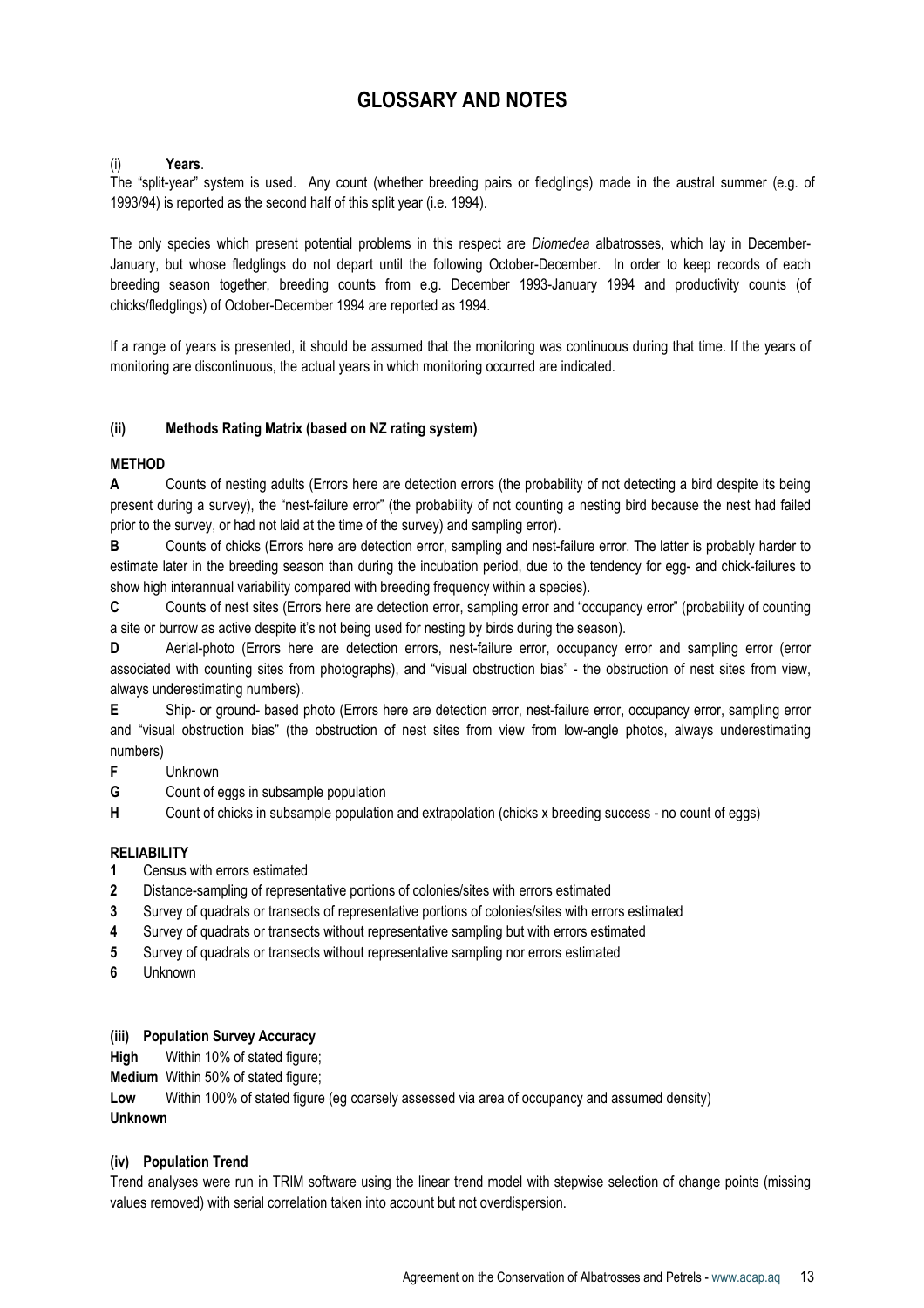# GLOSSARY AND NOTES

# (i) Years.

The "split-year" system is used. Any count (whether breeding pairs or fledglings) made in the austral summer (e.g. of 1993/94) is reported as the second half of this split year (i.e. 1994).

The only species which present potential problems in this respect are *Diomedea* albatrosses, which lay in December-January, but whose fledglings do not depart until the following October-December. In order to keep records of each breeding season together, breeding counts from e.g. December 1993-January 1994 and productivity counts (of chicks/fledglings) of October-December 1994 are reported as 1994.

If a range of years is presented, it should be assumed that the monitoring was continuous during that time. If the years of monitoring are discontinuous, the actual years in which monitoring occurred are indicated.

# (ii) Methods Rating Matrix (based on NZ rating system)

# **MFTHOD**

A Counts of nesting adults (Errors here are detection errors (the probability of not detecting a bird despite its being present during a survey), the "nest-failure error" (the probability of not counting a nesting bird because the nest had failed prior to the survey, or had not laid at the time of the survey) and sampling error).

B Counts of chicks (Errors here are detection error, sampling and nest-failure error. The latter is probably harder to estimate later in the breeding season than during the incubation period, due to the tendency for egg- and chick-failures to show high interannual variability compared with breeding frequency within a species).

C Counts of nest sites (Errors here are detection error, sampling error and "occupancy error" (probability of counting a site or burrow as active despite it's not being used for nesting by birds during the season).

D Aerial-photo (Errors here are detection errors, nest-failure error, occupancy error and sampling error (error associated with counting sites from photographs), and "visual obstruction bias" - the obstruction of nest sites from view, always underestimating numbers).

E Ship- or ground- based photo (Errors here are detection error, nest-failure error, occupancy error, sampling error and "visual obstruction bias" (the obstruction of nest sites from view from low-angle photos, always underestimating numbers)

- F Unknown
- G Count of eggs in subsample population
- H Count of chicks in subsample population and extrapolation (chicks x breeding success no count of eggs)

# **RELIABILITY**

- 1 Census with errors estimated
- 2 Distance-sampling of representative portions of colonies/sites with errors estimated
- 3 Survey of quadrats or transects of representative portions of colonies/sites with errors estimated
- 4 Survey of quadrats or transects without representative sampling but with errors estimated
- 5 Survey of quadrats or transects without representative sampling nor errors estimated
- 6 Unknown

# (iii) Population Survey Accuracy

High Within 10% of stated figure;

Medium Within 50% of stated figure;

Low Within 100% of stated figure (eg coarsely assessed via area of occupancy and assumed density) Unknown

# (iv) Population Trend

Trend analyses were run in TRIM software using the linear trend model with stepwise selection of change points (missing values removed) with serial correlation taken into account but not overdispersion.